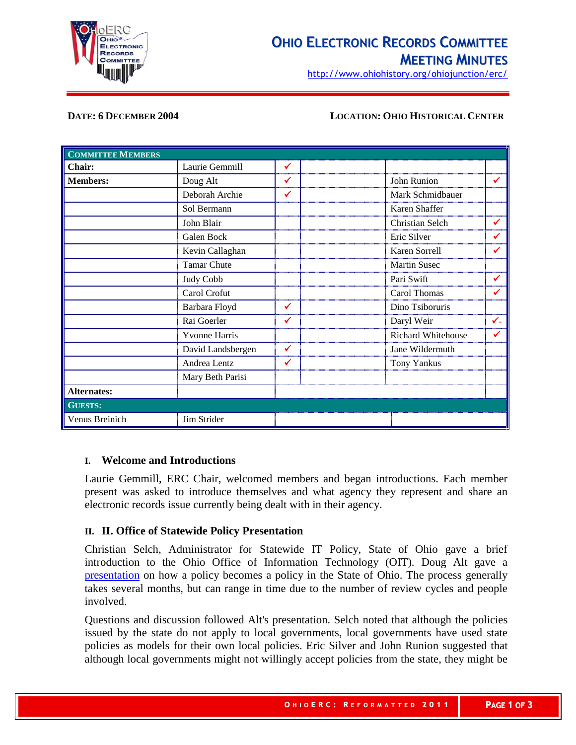

http://www.ohiohistory.org/ohiojunction/erc/

### **DATE: 6 DECEMBER 2004 LOCATION: OHIO HISTORICAL CENTER**

| <b>COMMITTEE MEMBERS</b> |                      |   |                     |    |
|--------------------------|----------------------|---|---------------------|----|
| Chair:                   | Laurie Gemmill       | ✔ |                     |    |
| <b>Members:</b>          | Doug Alt             | ✔ | John Runion         |    |
|                          | Deborah Archie       | ✔ | Mark Schmidbauer    |    |
|                          | Sol Bermann          |   | Karen Shaffer       |    |
|                          | John Blair           |   | Christian Selch     | ✔  |
|                          | Galen Bock           |   | Eric Silver         | ✔  |
|                          | Kevin Callaghan      |   | Karen Sorrell       | ✔  |
|                          | <b>Tamar Chute</b>   |   | <b>Martin Susec</b> |    |
|                          | Judy Cobb            |   | Pari Swift          | ✔  |
|                          | Carol Crofut         |   | Carol Thomas        | ✔  |
|                          | Barbara Floyd        | ✔ | Dino Tsiboruris     |    |
|                          | Rai Goerler          |   | Daryl Weir          | ✓- |
|                          | <b>Yvonne Harris</b> |   | Richard Whitehouse  | ✔  |
|                          | David Landsbergen    | ✔ | Jane Wildermuth     |    |
|                          | Andrea Lentz         | ✔ | <b>Tony Yankus</b>  |    |
|                          | Mary Beth Parisi     |   |                     |    |
| <b>Alternates:</b>       |                      |   |                     |    |
| <b>GUESTS:</b>           |                      |   |                     |    |
| Venus Breinich           | Jim Strider          |   |                     |    |

### **I. Welcome and Introductions**

Laurie Gemmill, ERC Chair, welcomed members and began introductions. Each member present was asked to introduce themselves and what agency they represent and share an electronic records issue currently being dealt with in their agency.

## **II. II. Office of Statewide Policy Presentation**

Christian Selch, Administrator for Statewide IT Policy, State of Ohio gave a brief introduction to the Ohio Office of Information Technology (OIT). Doug Alt gave a [presentation](http://www.ohiohistoryhost.org/ERC/PolicyPresentation120604.ppt) on how a policy becomes a policy in the State of Ohio. The process generally takes several months, but can range in time due to the number of review cycles and people involved.

Questions and discussion followed Alt's presentation. Selch noted that although the policies issued by the state do not apply to local governments, local governments have used state policies as models for their own local policies. Eric Silver and John Runion suggested that although local governments might not willingly accept policies from the state, they might be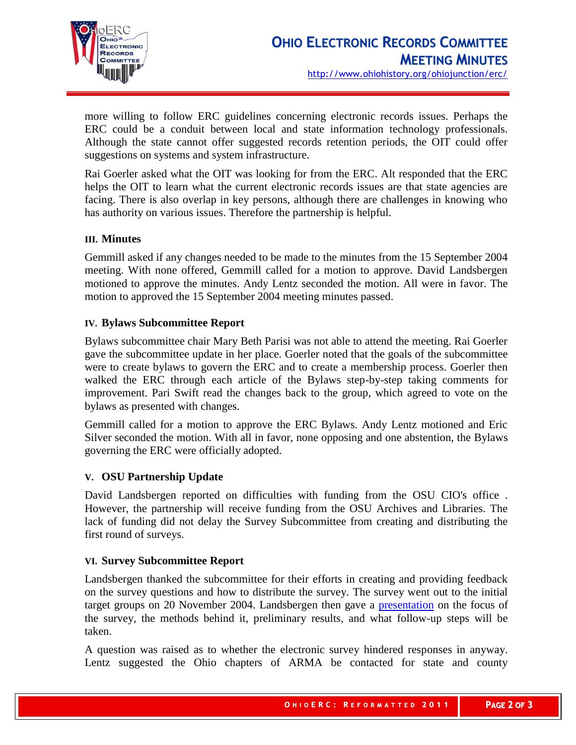

more willing to follow ERC guidelines concerning electronic records issues. Perhaps the ERC could be a conduit between local and state information technology professionals. Although the state cannot offer suggested records retention periods, the OIT could offer suggestions on systems and system infrastructure.

Rai Goerler asked what the OIT was looking for from the ERC. Alt responded that the ERC helps the OIT to learn what the current electronic records issues are that state agencies are facing. There is also overlap in key persons, although there are challenges in knowing who has authority on various issues. Therefore the partnership is helpful.

# **III. Minutes**

Gemmill asked if any changes needed to be made to the minutes from the 15 September 2004 meeting. With none offered, Gemmill called for a motion to approve. David Landsbergen motioned to approve the minutes. Andy Lentz seconded the motion. All were in favor. The motion to approved the 15 September 2004 meeting minutes passed.

# **IV. Bylaws Subcommittee Report**

Bylaws subcommittee chair Mary Beth Parisi was not able to attend the meeting. Rai Goerler gave the subcommittee update in her place. Goerler noted that the goals of the subcommittee were to create bylaws to govern the ERC and to create a membership process. Goerler then walked the ERC through each article of the Bylaws step-by-step taking comments for improvement. Pari Swift read the changes back to the group, which agreed to vote on the bylaws as presented with changes.

Gemmill called for a motion to approve the ERC Bylaws. Andy Lentz motioned and Eric Silver seconded the motion. With all in favor, none opposing and one abstention, the Bylaws governing the ERC were officially adopted.

# **V. OSU Partnership Update**

David Landsbergen reported on difficulties with funding from the OSU CIO's office . However, the partnership will receive funding from the OSU Archives and Libraries. The lack of funding did not delay the Survey Subcommittee from creating and distributing the first round of surveys.

# **VI. Survey Subcommittee Report**

Landsbergen thanked the subcommittee for their efforts in creating and providing feedback on the survey questions and how to distribute the survey. The survey went out to the initial target groups on 20 November 2004. Landsbergen then gave a [presentation](http://www.ohiohistoryhost.org/ERC/surveypresentation120604.ppt) on the focus of the survey, the methods behind it, preliminary results, and what follow-up steps will be taken.

A question was raised as to whether the electronic survey hindered responses in anyway. Lentz suggested the Ohio chapters of ARMA be contacted for state and county